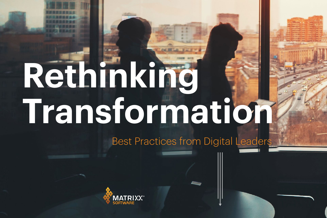# **Rethinking Transformation** Best Practices from Digital Leaders



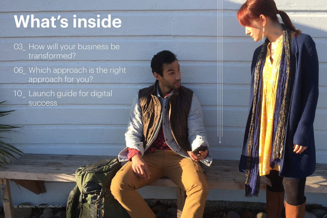03\_ How will your business be [transformed?](#page-2-0)

06\_ Which approach is the right [approach for you?](#page-5-0)

[10\\_ Launch guide for digital](#page-9-0)  [success](#page-9-0)

# **What's inside**

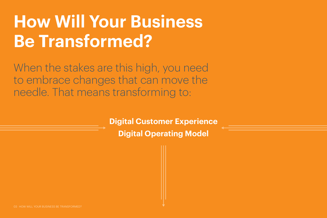# <span id="page-2-0"></span>**How Will Your Business Be Transformed?**

When the stakes are this high, you need to embrace changes that can move the needle. That means transforming to:

> **[Digital Customer Experience](#page-3-0) [Digital Operating Model](#page-4-0)**

03 HOW WILL YOUR BUSINESS BE TRANSFORMED?

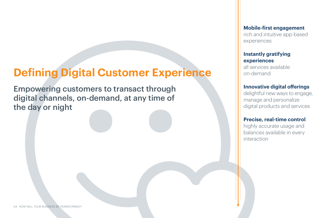**Mobile-first engagement** rich and intuitive app-based experiences

#### **Instantly gratifying experiences**

all services available on-demand

**Innovative digital offerings**  delightful new ways to engage, manage and personalize digital products and services

#### **Precise, real-time control**

highly accurate usage and balances available in every interaction

Empowering customers to transact through digital channels, on-demand, at any time of the day or night

# <span id="page-3-0"></span>**Defining Digital Customer Experience**

04 HOW WILL YOUR BUSINESS BE TRANSFORMED?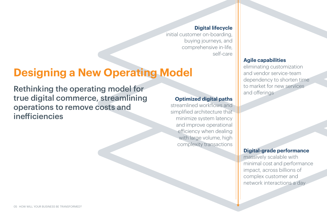## <span id="page-4-0"></span>**Designing a New Operating Model**

Rethinking the operating model for true digital commerce, streamlining operations to remove costs and inefficiencies

#### **Digital lifecycle**

initial customer on-boarding, buying journeys, and comprehensive in-life, self-care

#### **Optimized digital paths**

streamlined workflows and simplified architecture that minimize system latency and improve operational efficiency when dealing with large volume, high complexity transactions

#### **Digital-grade performance**

massively scalable with minimal cost and performance impact, across billions of complex customer and network interactions a day



#### **Agile capabilities**

eliminating customization and vendor service-team dependency to shorten time to market for new services and offerings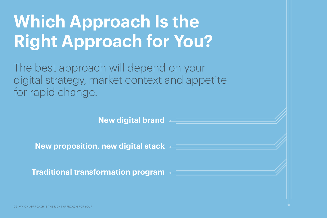# <span id="page-5-0"></span>**Which Approach Right Approach for**

The best approach will deper digital strategy, market context for rapid change.

**New digital brand**

**New proposition, new digital stack**

**Traditional transformation program**

06 WHICH APPROACH IS THE RIGHT APPROACH FOR YOU?

| <b>Isthe</b>                  |
|-------------------------------|
| or You?                       |
| nd on your<br>xt and appetite |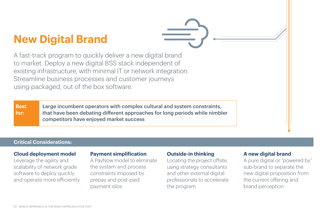## **New Digital Brand**

A fast-track program to quickly deliver a new digital brand to market. Deploy a new digital BSS stack independent of existing infrastructure, with minimal IT or network integration. Streamline business processes and customer journeys using packaged, out of the box software.

#### **Payment simplification**

A PayNow model to eliminate the system and process constraints imposed by prepay and post-paid payment silos

#### **Outside-in thinking**

Locating the project offsite, using strategy consultants and other external digital professionals to accelerate the program

#### **A new digital brand**

A pure digital or "powered by" sub-brand to separate the new digital proposition from the current offering and brand perception



#### *C***loud deployment model**

Leverage the agility and scalability of network grade software to deploy quickly and operate more efficiently

#### **Critical Considerations:**

Large incumbent operators with complex cultural and system constraints, that have been debating different approaches for long periods while nimbler competitors have enjoyed market success

**Best for:**

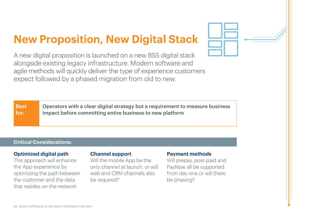# **New Proposition, New Digital Stack**

A new digital proposition is launched on a new BSS digital stack alongside existing legacy infrastructure. Modern software and agile methods will quickly deliver the type of experience customers expect followed by a phased migration from old to new.

#### **Optimized digital path**

This approach will enhance the App experience by optimizing the path between the customer and the data that resides on the network

#### **Channel support**

Will the mobile App be the only channel at launch, or will web and CRM channels also be required?

#### **Payment methods**

**quirement to measure business** iew platform

Will prepay, post-paid and PayNow all be supported from day one or will there be phasing?

#### **Critical Considerations:**

| <b>Best</b> | Operators with a clear digital strategy but a re |
|-------------|--------------------------------------------------|
| for:        | impact before committing entire business to n    |
|             |                                                  |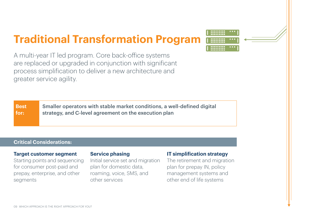A multi-year IT led program. Core back-office systems are replaced or upgraded in conjunction with significant process simplification to deliver a new architecture and greater service agility.

#### **Target customer segment**

Starting points and sequencing for consumer post-paid and prepay, enterprise, and other segments

#### **Service phasing**

#### **IT simplification strategy**

Initial service set and migration plan for domestic data, roaming, voice, SMS, and other services The retirement and migration plan for prepay IN, policy management systems and other end of life systems

### **Traditional Transformation Program**

#### **Critical Considerations:**



ons, a well-defined digital tion plan

| <b>Best</b> | <b>Smaller operators with stable market conditionally</b> |
|-------------|-----------------------------------------------------------|
| for:        | strategy, and C-level agreement on the execut             |
|             |                                                           |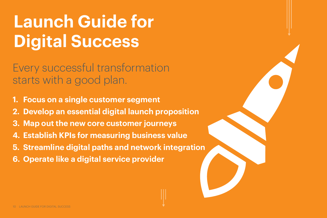Every successful transformation starts with a good plan.

# <span id="page-9-0"></span>**Launch Guide for Digital Success**

- **[1. Focus on a single customer segment](#page-10-0)**
- **[2. Develop an essential digital launch proposition](#page-10-0)**
- **[3. Map out the new core customer journeys](#page-11-0)**
- **[4. Establish KPIs for measuring business value](#page-11-0)**
- **[5. Streamline digital paths and network integration](#page-12-0)**
- **[6. Operate like a digital service provider](#page-12-0)**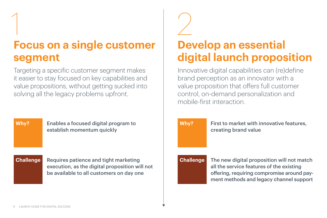Targeting a specific customer segment makes it easier to stay focused on key capabilities and value propositions, without getting sucked into solving all the legacy problems upfront.

Innovative digital capabilities can (re)define brand perception as an innovator with a value proposition that offers full customer control, on-demand personalization and mobile-first interaction.



creating brand value

The new digital proposition will not match all the service features of the existing offering, requiring compromise around payment methods and legacy channel support







# <span id="page-10-0"></span>1 2 **Focus on a single customer segment**

## **Develop an essential digital launch proposition**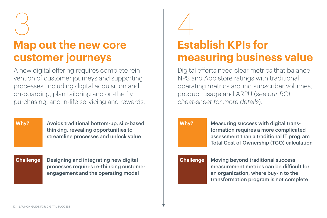A new digital offering requires complete reinvention of customer journeys and supporting processes, including digital acquisition and on-boarding, plan tailoring and on-the fly purchasing, and in-life servicing and rewards.

Why? Avoids traditional bottom-up, silo-based Why? Measuring success with digital transthinking, revealing opportunities to streamline processes and unlock value

Digital efforts need clear metrics that balance NPS and App store ratings with traditional operating metrics around subscriber volumes, product usage and ARPU (*[see our ROI](https://cdn2.hubspot.net/hubfs/543514/Resource_Center_Files/Data_Sheets/MATRIXX%20Digital%20Commerce%20ROI%20Cheatsheet%20.pdf)  [cheat-sheet for more details](https://cdn2.hubspot.net/hubfs/543514/Resource_Center_Files/Data_Sheets/MATRIXX%20Digital%20Commerce%20ROI%20Cheatsheet%20.pdf)*).

Designing and integrating new digital processes requires re-thinking customer engagement and the operating model

#### **Challenge**

formation requires a more complicated assessment than a traditional IT program Total Cost of Ownership (TCO) calculation

Moving beyond traditional success measurement metrics can be difficult for an organization, where buy-in to the transformation program is not complete





**Challenge**

**Why?**

# <span id="page-11-0"></span>3 4

### **Map out the new core customer journeys**

### **Establish KPIs for measuring business value**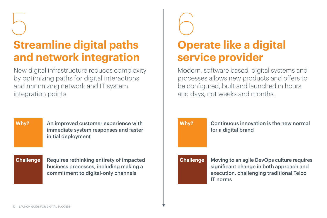New digital infrastructure reduces complexity by optimizing paths for digital interactions and minimizing network and IT system integration points.





# <span id="page-12-0"></span>5 6 **Streamline digital paths**

## **and network integration**

# **Operate like a digital**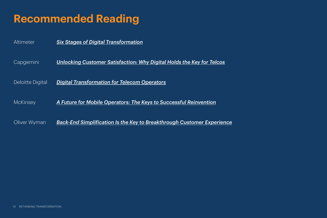| Altimeter               | <b>Six Stages of Digital Transformation</b>           |
|-------------------------|-------------------------------------------------------|
| Capgemini               | <b>Unlocking Customer Satisfaction: Why Digital</b>   |
| <b>Deloitte Digital</b> | <b>Digital Transformation for Telecom Operators</b>   |
| McKinsey                | <b>A Future for Mobile Operators: The Keys to Su</b>  |
| Oliver Wyman            | <u>Back-End Simplification Is the Key to Breakthr</u> |

### **Recommended Reading**

*<u>igital Holds the Key for Telcos</u>* 

**to Successful Reinvention** 

**akthrough Customer Experience**